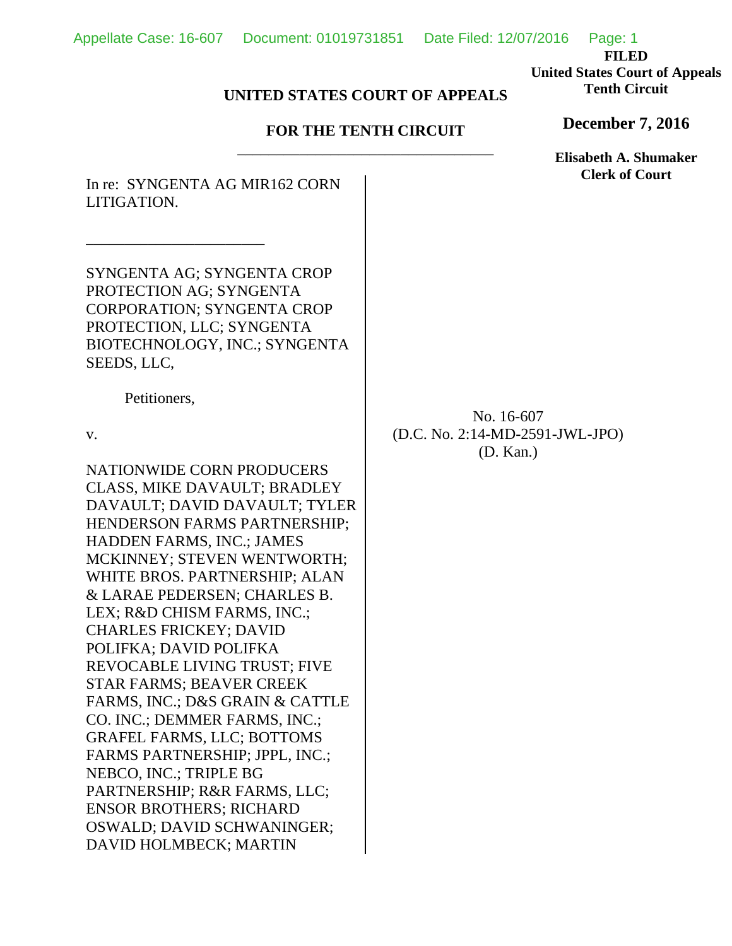**FILED United States Court of Appeals Tenth Circuit**

## **UNITED STATES COURT OF APPEALS**

## **FOR THE TENTH CIRCUIT** \_\_\_\_\_\_\_\_\_\_\_\_\_\_\_\_\_\_\_\_\_\_\_\_\_\_\_\_\_\_\_\_\_

In re: SYNGENTA AG MIR162 CORN LITIGATION.

SYNGENTA AG; SYNGENTA CROP PROTECTION AG; SYNGENTA CORPORATION; SYNGENTA CROP PROTECTION, LLC; SYNGENTA BIOTECHNOLOGY, INC.; SYNGENTA SEEDS, LLC,

Petitioners,

\_\_\_\_\_\_\_\_\_\_\_\_\_\_\_\_\_\_\_\_\_\_\_

v.

NATIONWIDE CORN PRODUCERS CLASS, MIKE DAVAULT; BRADLEY DAVAULT; DAVID DAVAULT; TYLER HENDERSON FARMS PARTNERSHIP; HADDEN FARMS, INC.; JAMES MCKINNEY; STEVEN WENTWORTH; WHITE BROS. PARTNERSHIP; ALAN & LARAE PEDERSEN; CHARLES B. LEX; R&D CHISM FARMS, INC.; CHARLES FRICKEY; DAVID POLIFKA; DAVID POLIFKA REVOCABLE LIVING TRUST; FIVE STAR FARMS; BEAVER CREEK FARMS, INC.; D&S GRAIN & CATTLE CO. INC.; DEMMER FARMS, INC.; GRAFEL FARMS, LLC; BOTTOMS FARMS PARTNERSHIP; JPPL, INC.; NEBCO, INC.; TRIPLE BG PARTNERSHIP; R&R FARMS, LLC; ENSOR BROTHERS; RICHARD OSWALD; DAVID SCHWANINGER; DAVID HOLMBECK; MARTIN

No. 16-607 (D.C. No. 2:14-MD-2591-JWL-JPO) (D. Kan.)

**December 7, 2016**

**Elisabeth A. Shumaker Clerk of Court**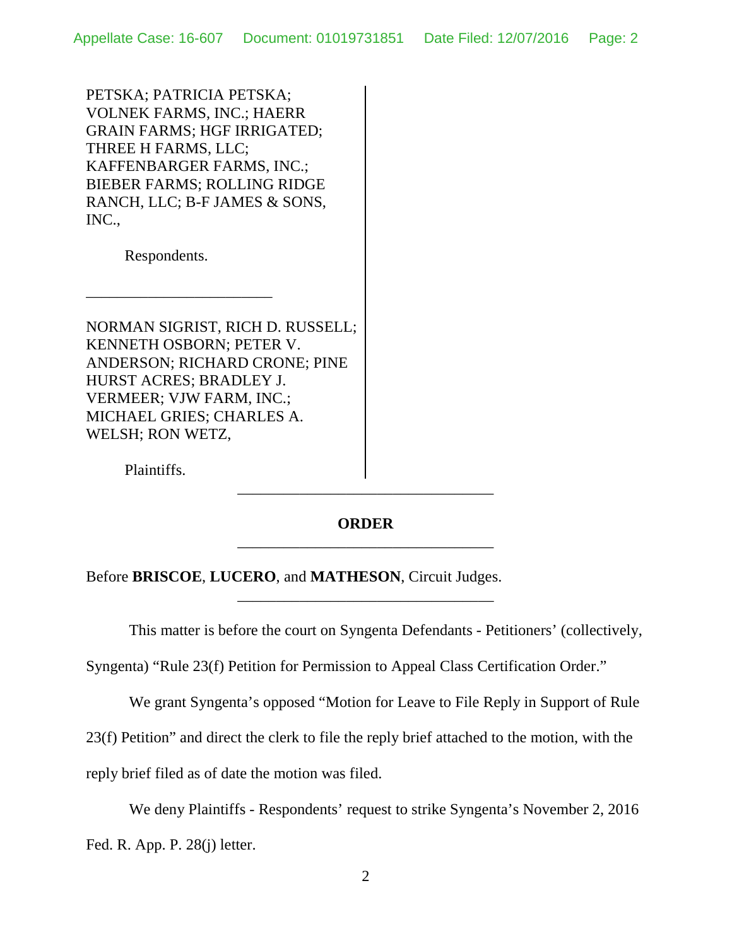PETSKA; PATRICIA PETSKA; VOLNEK FARMS, INC.; HAERR GRAIN FARMS; HGF IRRIGATED; THREE H FARMS, LLC; KAFFENBARGER FARMS, INC.; BIEBER FARMS; ROLLING RIDGE RANCH, LLC; B-F JAMES & SONS, INC.,

Respondents.

\_\_\_\_\_\_\_\_\_\_\_\_\_\_\_\_\_\_\_\_\_\_\_\_

NORMAN SIGRIST, RICH D. RUSSELL; KENNETH OSBORN; PETER V. ANDERSON; RICHARD CRONE; PINE HURST ACRES; BRADLEY J. VERMEER; VJW FARM, INC.; MICHAEL GRIES; CHARLES A. WELSH; RON WETZ,

Plaintiffs.

## **ORDER** \_\_\_\_\_\_\_\_\_\_\_\_\_\_\_\_\_\_\_\_\_\_\_\_\_\_\_\_\_\_\_\_\_

\_\_\_\_\_\_\_\_\_\_\_\_\_\_\_\_\_\_\_\_\_\_\_\_\_\_\_\_\_\_\_\_\_

\_\_\_\_\_\_\_\_\_\_\_\_\_\_\_\_\_\_\_\_\_\_\_\_\_\_\_\_\_\_\_\_\_

## Before **BRISCOE**, **LUCERO**, and **MATHESON**, Circuit Judges.

This matter is before the court on Syngenta Defendants - Petitioners' (collectively,

Syngenta) "Rule 23(f) Petition for Permission to Appeal Class Certification Order."

We grant Syngenta's opposed "Motion for Leave to File Reply in Support of Rule

23(f) Petition" and direct the clerk to file the reply brief attached to the motion, with the

reply brief filed as of date the motion was filed.

We deny Plaintiffs - Respondents' request to strike Syngenta's November 2, 2016

Fed. R. App. P. 28(j) letter.